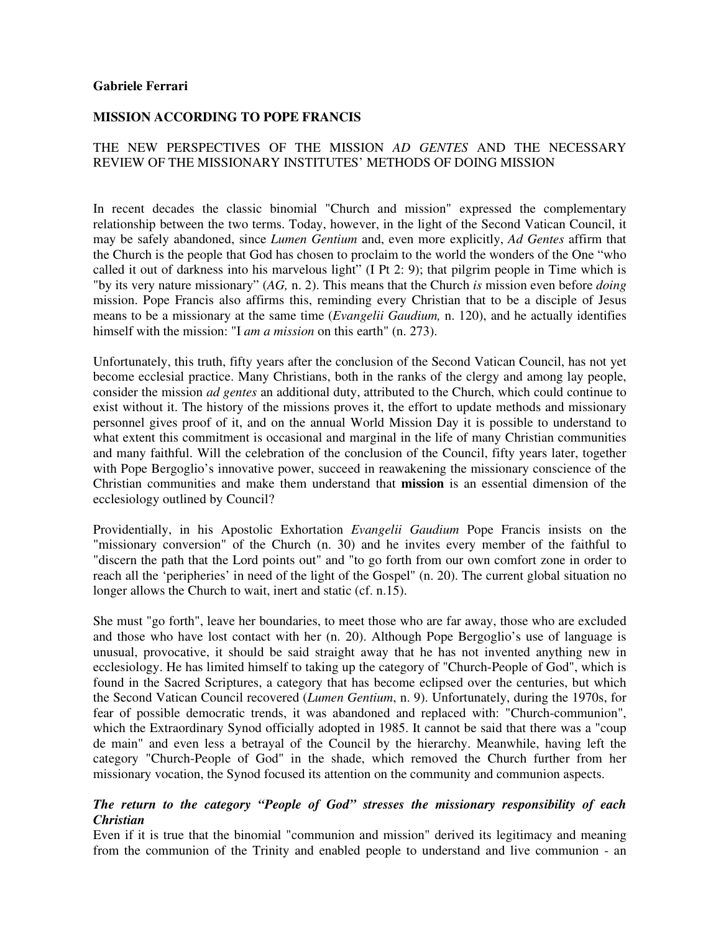#### **Gabriele Ferrari**

## **MISSION ACCORDING TO POPE FRANCIS**

## THE NEW PERSPECTIVES OF THE MISSION *AD GENTES* AND THE NECESSARY REVIEW OF THE MISSIONARY INSTITUTES' METHODS OF DOING MISSION

In recent decades the classic binomial "Church and mission" expressed the complementary relationship between the two terms. Today, however, in the light of the Second Vatican Council, it may be safely abandoned, since *Lumen Gentium* and, even more explicitly, *Ad Gentes* affirm that the Church is the people that God has chosen to proclaim to the world the wonders of the One "who called it out of darkness into his marvelous light" (I Pt 2: 9); that pilgrim people in Time which is "by its very nature missionary" (*AG,* n. 2). This means that the Church *is* mission even before *doing*  mission. Pope Francis also affirms this, reminding every Christian that to be a disciple of Jesus means to be a missionary at the same time (*Evangelii Gaudium,* n. 120), and he actually identifies himself with the mission: "I *am a mission* on this earth" (n. 273).

Unfortunately, this truth, fifty years after the conclusion of the Second Vatican Council, has not yet become ecclesial practice. Many Christians, both in the ranks of the clergy and among lay people, consider the mission *ad gentes* an additional duty, attributed to the Church, which could continue to exist without it. The history of the missions proves it, the effort to update methods and missionary personnel gives proof of it, and on the annual World Mission Day it is possible to understand to what extent this commitment is occasional and marginal in the life of many Christian communities and many faithful. Will the celebration of the conclusion of the Council, fifty years later, together with Pope Bergoglio's innovative power, succeed in reawakening the missionary conscience of the Christian communities and make them understand that **mission** is an essential dimension of the ecclesiology outlined by Council?

Providentially, in his Apostolic Exhortation *Evangelii Gaudium* Pope Francis insists on the "missionary conversion" of the Church (n. 30) and he invites every member of the faithful to "discern the path that the Lord points out" and "to go forth from our own comfort zone in order to reach all the 'peripheries' in need of the light of the Gospel" (n. 20). The current global situation no longer allows the Church to wait, inert and static (cf. n.15).

She must "go forth", leave her boundaries, to meet those who are far away, those who are excluded and those who have lost contact with her (n. 20). Although Pope Bergoglio's use of language is unusual, provocative, it should be said straight away that he has not invented anything new in ecclesiology. He has limited himself to taking up the category of "Church-People of God", which is found in the Sacred Scriptures, a category that has become eclipsed over the centuries, but which the Second Vatican Council recovered (*Lumen Gentium*, n. 9). Unfortunately, during the 1970s, for fear of possible democratic trends, it was abandoned and replaced with: "Church-communion", which the Extraordinary Synod officially adopted in 1985. It cannot be said that there was a "coup de main" and even less a betrayal of the Council by the hierarchy. Meanwhile, having left the category "Church-People of God" in the shade, which removed the Church further from her missionary vocation, the Synod focused its attention on the community and communion aspects.

## *The return to the category "People of God" stresses the missionary responsibility of each Christian*

Even if it is true that the binomial "communion and mission" derived its legitimacy and meaning from the communion of the Trinity and enabled people to understand and live communion - an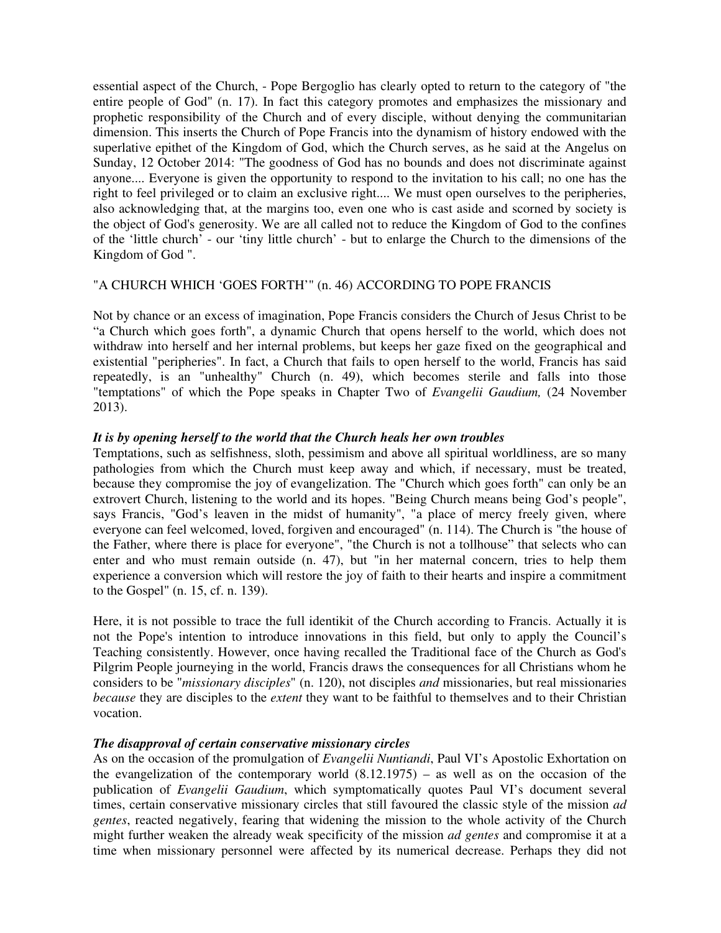essential aspect of the Church, - Pope Bergoglio has clearly opted to return to the category of "the entire people of God" (n. 17). In fact this category promotes and emphasizes the missionary and prophetic responsibility of the Church and of every disciple, without denying the communitarian dimension. This inserts the Church of Pope Francis into the dynamism of history endowed with the superlative epithet of the Kingdom of God, which the Church serves, as he said at the Angelus on Sunday, 12 October 2014: "The goodness of God has no bounds and does not discriminate against anyone.... Everyone is given the opportunity to respond to the invitation to his call; no one has the right to feel privileged or to claim an exclusive right.... We must open ourselves to the peripheries, also acknowledging that, at the margins too, even one who is cast aside and scorned by society is the object of God's generosity. We are all called not to reduce the Kingdom of God to the confines of the 'little church' - our 'tiny little church' - but to enlarge the Church to the dimensions of the Kingdom of God ".

## "A CHURCH WHICH 'GOES FORTH'" (n. 46) ACCORDING TO POPE FRANCIS

Not by chance or an excess of imagination, Pope Francis considers the Church of Jesus Christ to be "a Church which goes forth", a dynamic Church that opens herself to the world, which does not withdraw into herself and her internal problems, but keeps her gaze fixed on the geographical and existential "peripheries". In fact, a Church that fails to open herself to the world, Francis has said repeatedly, is an "unhealthy" Church (n. 49), which becomes sterile and falls into those "temptations" of which the Pope speaks in Chapter Two of *Evangelii Gaudium,* (24 November 2013).

## *It is by opening herself to the world that the Church heals her own troubles*

Temptations, such as selfishness, sloth, pessimism and above all spiritual worldliness, are so many pathologies from which the Church must keep away and which, if necessary, must be treated, because they compromise the joy of evangelization. The "Church which goes forth" can only be an extrovert Church, listening to the world and its hopes. "Being Church means being God's people", says Francis, "God's leaven in the midst of humanity", "a place of mercy freely given, where everyone can feel welcomed, loved, forgiven and encouraged" (n. 114). The Church is "the house of the Father, where there is place for everyone", "the Church is not a tollhouse" that selects who can enter and who must remain outside (n. 47), but "in her maternal concern, tries to help them experience a conversion which will restore the joy of faith to their hearts and inspire a commitment to the Gospel" (n. 15, cf. n. 139).

Here, it is not possible to trace the full identikit of the Church according to Francis. Actually it is not the Pope's intention to introduce innovations in this field, but only to apply the Council's Teaching consistently. However, once having recalled the Traditional face of the Church as God's Pilgrim People journeying in the world, Francis draws the consequences for all Christians whom he considers to be "*missionary disciples*" (n. 120), not disciples *and* missionaries, but real missionaries *because* they are disciples to the *extent* they want to be faithful to themselves and to their Christian vocation.

## *The disapproval of certain conservative missionary circles*

As on the occasion of the promulgation of *Evangelii Nuntiandi*, Paul VI's Apostolic Exhortation on the evangelization of the contemporary world (8.12.1975) – as well as on the occasion of the publication of *Evangelii Gaudium*, which symptomatically quotes Paul VI's document several times, certain conservative missionary circles that still favoured the classic style of the mission *ad gentes*, reacted negatively, fearing that widening the mission to the whole activity of the Church might further weaken the already weak specificity of the mission *ad gentes* and compromise it at a time when missionary personnel were affected by its numerical decrease. Perhaps they did not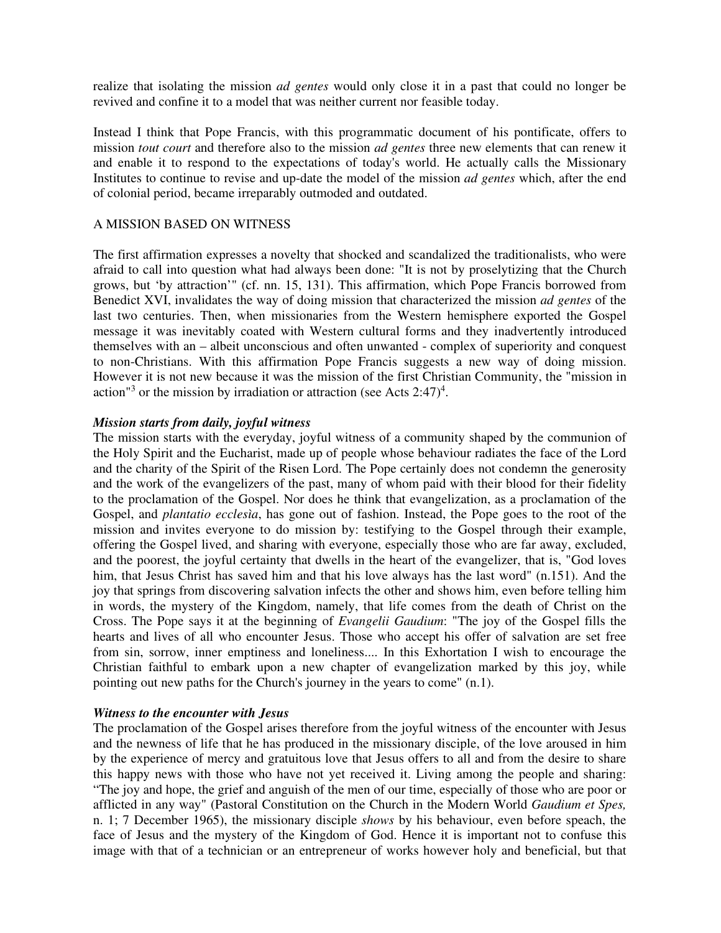realize that isolating the mission *ad gentes* would only close it in a past that could no longer be revived and confine it to a model that was neither current nor feasible today.

Instead I think that Pope Francis, with this programmatic document of his pontificate, offers to mission *tout court* and therefore also to the mission *ad gentes* three new elements that can renew it and enable it to respond to the expectations of today's world. He actually calls the Missionary Institutes to continue to revise and up-date the model of the mission *ad gentes* which, after the end of colonial period, became irreparably outmoded and outdated.

## A MISSION BASED ON WITNESS

The first affirmation expresses a novelty that shocked and scandalized the traditionalists, who were afraid to call into question what had always been done: "It is not by proselytizing that the Church grows, but 'by attraction'" (cf. nn. 15, 131). This affirmation, which Pope Francis borrowed from Benedict XVI, invalidates the way of doing mission that characterized the mission *ad gentes* of the last two centuries. Then, when missionaries from the Western hemisphere exported the Gospel message it was inevitably coated with Western cultural forms and they inadvertently introduced themselves with an – albeit unconscious and often unwanted - complex of superiority and conquest to non-Christians. With this affirmation Pope Francis suggests a new way of doing mission. However it is not new because it was the mission of the first Christian Community, the "mission in action<sup>13</sup> or the mission by irradiation or attraction (see Acts  $2:47)^4$ .

#### *Mission starts from daily, joyful witness*

The mission starts with the everyday, joyful witness of a community shaped by the communion of the Holy Spirit and the Eucharist, made up of people whose behaviour radiates the face of the Lord and the charity of the Spirit of the Risen Lord. The Pope certainly does not condemn the generosity and the work of the evangelizers of the past, many of whom paid with their blood for their fidelity to the proclamation of the Gospel. Nor does he think that evangelization, as a proclamation of the Gospel, and *plantatio ecclesìa*, has gone out of fashion. Instead, the Pope goes to the root of the mission and invites everyone to do mission by: testifying to the Gospel through their example, offering the Gospel lived, and sharing with everyone, especially those who are far away, excluded, and the poorest, the joyful certainty that dwells in the heart of the evangelizer, that is, "God loves him, that Jesus Christ has saved him and that his love always has the last word" (n.151). And the joy that springs from discovering salvation infects the other and shows him, even before telling him in words, the mystery of the Kingdom, namely, that life comes from the death of Christ on the Cross. The Pope says it at the beginning of *Evangelii Gaudium*: "The joy of the Gospel fills the hearts and lives of all who encounter Jesus. Those who accept his offer of salvation are set free from sin, sorrow, inner emptiness and loneliness.... In this Exhortation I wish to encourage the Christian faithful to embark upon a new chapter of evangelization marked by this joy, while pointing out new paths for the Church's journey in the years to come" (n.1).

#### *Witness to the encounter with Jesus*

The proclamation of the Gospel arises therefore from the joyful witness of the encounter with Jesus and the newness of life that he has produced in the missionary disciple, of the love aroused in him by the experience of mercy and gratuitous love that Jesus offers to all and from the desire to share this happy news with those who have not yet received it. Living among the people and sharing: "The joy and hope, the grief and anguish of the men of our time, especially of those who are poor or afflicted in any way" (Pastoral Constitution on the Church in the Modern World *Gaudium et Spes,* n. 1; 7 December 1965), the missionary disciple *shows* by his behaviour, even before speach, the face of Jesus and the mystery of the Kingdom of God. Hence it is important not to confuse this image with that of a technician or an entrepreneur of works however holy and beneficial, but that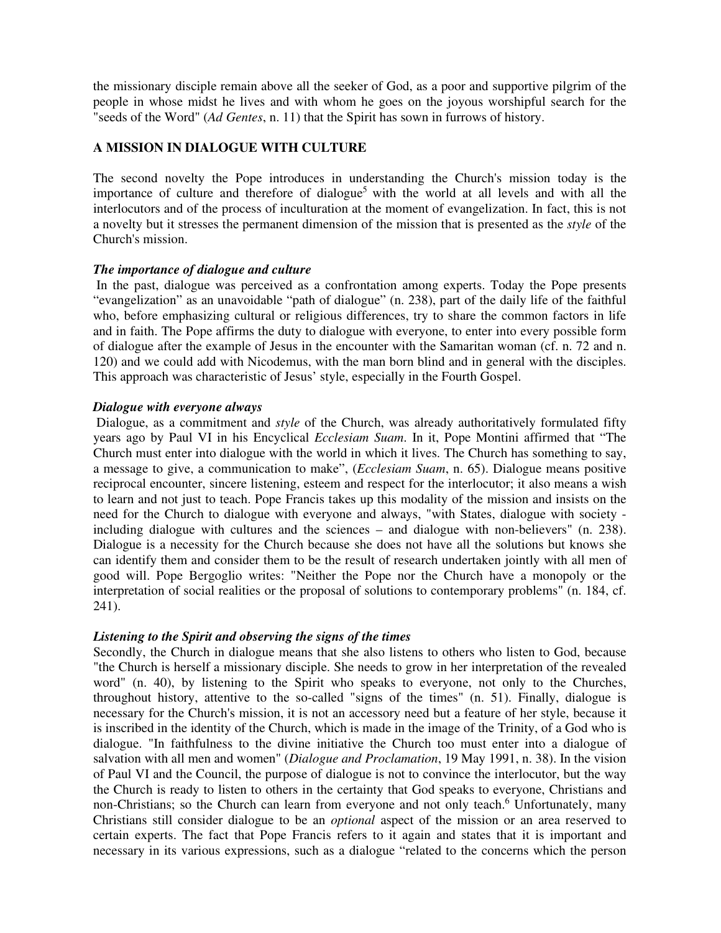the missionary disciple remain above all the seeker of God, as a poor and supportive pilgrim of the people in whose midst he lives and with whom he goes on the joyous worshipful search for the "seeds of the Word" (*Ad Gentes*, n. 11) that the Spirit has sown in furrows of history.

# **A MISSION IN DIALOGUE WITH CULTURE**

The second novelty the Pope introduces in understanding the Church's mission today is the importance of culture and therefore of dialogue<sup>5</sup> with the world at all levels and with all the interlocutors and of the process of inculturation at the moment of evangelization. In fact, this is not a novelty but it stresses the permanent dimension of the mission that is presented as the *style* of the Church's mission.

## *The importance of dialogue and culture*

 In the past, dialogue was perceived as a confrontation among experts. Today the Pope presents "evangelization" as an unavoidable "path of dialogue" (n. 238), part of the daily life of the faithful who, before emphasizing cultural or religious differences, try to share the common factors in life and in faith. The Pope affirms the duty to dialogue with everyone, to enter into every possible form of dialogue after the example of Jesus in the encounter with the Samaritan woman (cf. n. 72 and n. 120) and we could add with Nicodemus, with the man born blind and in general with the disciples. This approach was characteristic of Jesus' style, especially in the Fourth Gospel.

#### *Dialogue with everyone always*

 Dialogue, as a commitment and *style* of the Church, was already authoritatively formulated fifty years ago by Paul VI in his Encyclical *Ecclesiam Suam*. In it, Pope Montini affirmed that "The Church must enter into dialogue with the world in which it lives. The Church has something to say, a message to give, a communication to make", (*Ecclesiam Suam*, n. 65). Dialogue means positive reciprocal encounter, sincere listening, esteem and respect for the interlocutor; it also means a wish to learn and not just to teach. Pope Francis takes up this modality of the mission and insists on the need for the Church to dialogue with everyone and always, "with States, dialogue with society including dialogue with cultures and the sciences – and dialogue with non-believers" (n. 238). Dialogue is a necessity for the Church because she does not have all the solutions but knows she can identify them and consider them to be the result of research undertaken jointly with all men of good will. Pope Bergoglio writes: "Neither the Pope nor the Church have a monopoly or the interpretation of social realities or the proposal of solutions to contemporary problems" (n. 184, cf. 241).

## *Listening to the Spirit and observing the signs of the times*

Secondly, the Church in dialogue means that she also listens to others who listen to God, because "the Church is herself a missionary disciple. She needs to grow in her interpretation of the revealed word" (n. 40), by listening to the Spirit who speaks to everyone, not only to the Churches, throughout history, attentive to the so-called "signs of the times" (n. 51). Finally, dialogue is necessary for the Church's mission, it is not an accessory need but a feature of her style, because it is inscribed in the identity of the Church, which is made in the image of the Trinity, of a God who is dialogue. "In faithfulness to the divine initiative the Church too must enter into a dialogue of salvation with all men and women" (*Dialogue and Proclamation*, 19 May 1991, n. 38). In the vision of Paul VI and the Council, the purpose of dialogue is not to convince the interlocutor, but the way the Church is ready to listen to others in the certainty that God speaks to everyone, Christians and non-Christians; so the Church can learn from everyone and not only teach.<sup>6</sup> Unfortunately, many Christians still consider dialogue to be an *optional* aspect of the mission or an area reserved to certain experts. The fact that Pope Francis refers to it again and states that it is important and necessary in its various expressions, such as a dialogue "related to the concerns which the person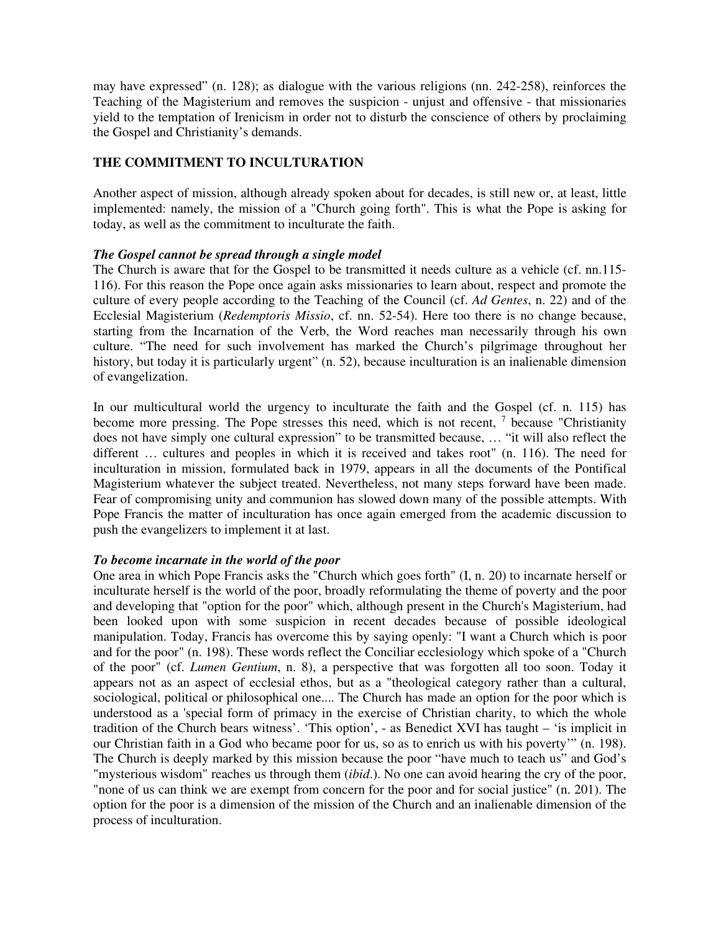may have expressed" (n. 128); as dialogue with the various religions (nn. 242-258), reinforces the Teaching of the Magisterium and removes the suspicion - unjust and offensive - that missionaries yield to the temptation of Irenicism in order not to disturb the conscience of others by proclaiming the Gospel and Christianity's demands.

## **THE COMMITMENT TO INCULTURATION**

Another aspect of mission, although already spoken about for decades, is still new or, at least, little implemented: namely, the mission of a "Church going forth". This is what the Pope is asking for today, as well as the commitment to inculturate the faith.

## *The Gospel cannot be spread through a single model*

The Church is aware that for the Gospel to be transmitted it needs culture as a vehicle (cf. nn.115- 116). For this reason the Pope once again asks missionaries to learn about, respect and promote the culture of every people according to the Teaching of the Council (cf. *Ad Gentes*, n. 22) and of the Ecclesial Magisterium (*Redemptoris Missio*, cf. nn. 52-54). Here too there is no change because, starting from the Incarnation of the Verb, the Word reaches man necessarily through his own culture. "The need for such involvement has marked the Church's pilgrimage throughout her history, but today it is particularly urgent" (n. 52), because inculturation is an inalienable dimension of evangelization.

In our multicultural world the urgency to inculturate the faith and the Gospel (cf. n. 115) has become more pressing. The Pope stresses this need, which is not recent, <sup>7</sup> because "Christianity does not have simply one cultural expression" to be transmitted because, … "it will also reflect the different … cultures and peoples in which it is received and takes root" (n. 116). The need for inculturation in mission, formulated back in 1979, appears in all the documents of the Pontifical Magisterium whatever the subject treated. Nevertheless, not many steps forward have been made. Fear of compromising unity and communion has slowed down many of the possible attempts. With Pope Francis the matter of inculturation has once again emerged from the academic discussion to push the evangelizers to implement it at last.

## *To become incarnate in the world of the poor*

One area in which Pope Francis asks the "Church which goes forth" (I, n. 20) to incarnate herself or inculturate herself is the world of the poor, broadly reformulating the theme of poverty and the poor and developing that "option for the poor" which, although present in the Church's Magisterium, had been looked upon with some suspicion in recent decades because of possible ideological manipulation. Today, Francis has overcome this by saying openly: "I want a Church which is poor and for the poor" (n. 198). These words reflect the Conciliar ecclesiology which spoke of a "Church of the poor" (cf. *Lumen Gentium*, n. 8), a perspective that was forgotten all too soon. Today it appears not as an aspect of ecclesial ethos, but as a "theological category rather than a cultural, sociological, political or philosophical one.... The Church has made an option for the poor which is understood as a 'special form of primacy in the exercise of Christian charity, to which the whole tradition of the Church bears witness'. 'This option', - as Benedict XVI has taught – 'is implicit in our Christian faith in a God who became poor for us, so as to enrich us with his poverty'" (n. 198). The Church is deeply marked by this mission because the poor "have much to teach us" and God's "mysterious wisdom" reaches us through them (*ibid*.). No one can avoid hearing the cry of the poor, "none of us can think we are exempt from concern for the poor and for social justice" (n. 201). The option for the poor is a dimension of the mission of the Church and an inalienable dimension of the process of inculturation.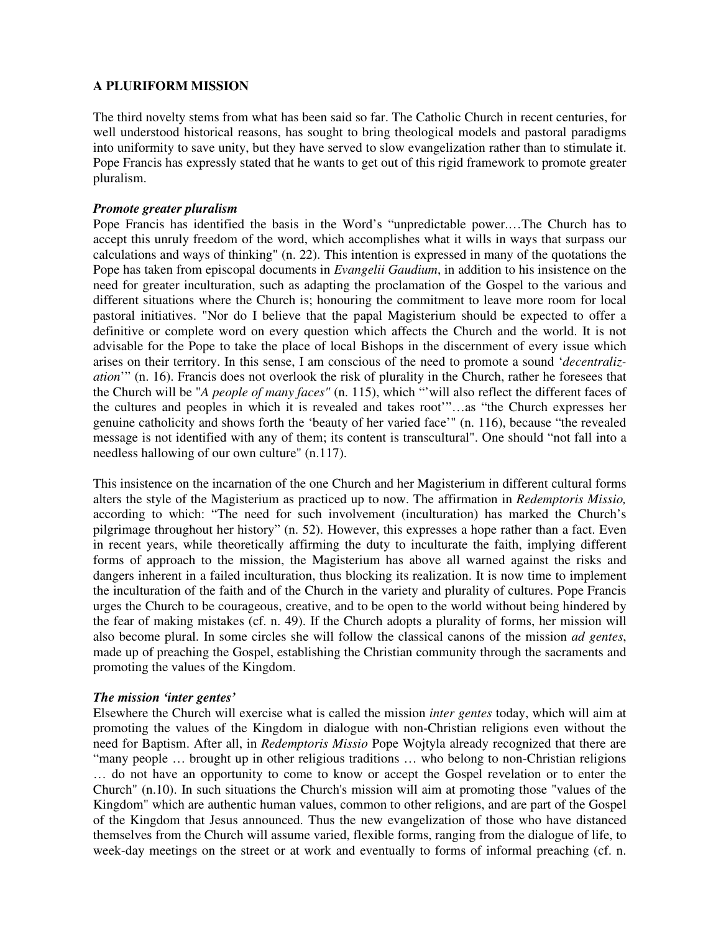## **A PLURIFORM MISSION**

The third novelty stems from what has been said so far. The Catholic Church in recent centuries, for well understood historical reasons, has sought to bring theological models and pastoral paradigms into uniformity to save unity, but they have served to slow evangelization rather than to stimulate it. Pope Francis has expressly stated that he wants to get out of this rigid framework to promote greater pluralism.

## *Promote greater pluralism*

Pope Francis has identified the basis in the Word's "unpredictable power.…The Church has to accept this unruly freedom of the word, which accomplishes what it wills in ways that surpass our calculations and ways of thinking" (n. 22). This intention is expressed in many of the quotations the Pope has taken from episcopal documents in *Evangelii Gaudium*, in addition to his insistence on the need for greater inculturation, such as adapting the proclamation of the Gospel to the various and different situations where the Church is; honouring the commitment to leave more room for local pastoral initiatives. "Nor do I believe that the papal Magisterium should be expected to offer a definitive or complete word on every question which affects the Church and the world. It is not advisable for the Pope to take the place of local Bishops in the discernment of every issue which arises on their territory. In this sense, I am conscious of the need to promote a sound '*decentralization*'" (n. 16). Francis does not overlook the risk of plurality in the Church, rather he foresees that the Church will be "*A people of many faces"* (n. 115), which "'will also reflect the different faces of the cultures and peoples in which it is revealed and takes root'"…as "the Church expresses her genuine catholicity and shows forth the 'beauty of her varied face'" (n. 116), because "the revealed message is not identified with any of them; its content is transcultural". One should "not fall into a needless hallowing of our own culture" (n.117).

This insistence on the incarnation of the one Church and her Magisterium in different cultural forms alters the style of the Magisterium as practiced up to now. The affirmation in *Redemptoris Missio,* according to which: "The need for such involvement (inculturation) has marked the Church's pilgrimage throughout her history" (n. 52). However, this expresses a hope rather than a fact. Even in recent years, while theoretically affirming the duty to inculturate the faith, implying different forms of approach to the mission, the Magisterium has above all warned against the risks and dangers inherent in a failed inculturation, thus blocking its realization. It is now time to implement the inculturation of the faith and of the Church in the variety and plurality of cultures. Pope Francis urges the Church to be courageous, creative, and to be open to the world without being hindered by the fear of making mistakes (cf. n. 49). If the Church adopts a plurality of forms, her mission will also become plural. In some circles she will follow the classical canons of the mission *ad gentes*, made up of preaching the Gospel, establishing the Christian community through the sacraments and promoting the values of the Kingdom.

## *The mission 'inter gentes'*

Elsewhere the Church will exercise what is called the mission *inter gentes* today, which will aim at promoting the values of the Kingdom in dialogue with non-Christian religions even without the need for Baptism. After all, in *Redemptoris Missio* Pope Wojtyla already recognized that there are "many people … brought up in other religious traditions … who belong to non-Christian religions … do not have an opportunity to come to know or accept the Gospel revelation or to enter the Church" (n.10). In such situations the Church's mission will aim at promoting those "values of the Kingdom" which are authentic human values, common to other religions, and are part of the Gospel of the Kingdom that Jesus announced. Thus the new evangelization of those who have distanced themselves from the Church will assume varied, flexible forms, ranging from the dialogue of life, to week-day meetings on the street or at work and eventually to forms of informal preaching (cf. n.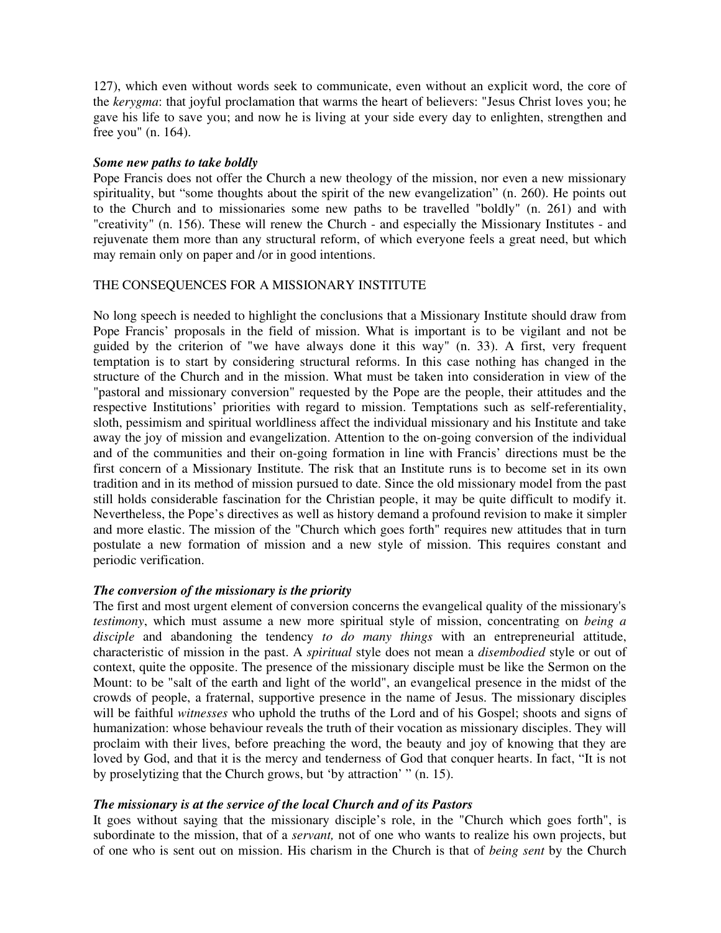127), which even without words seek to communicate, even without an explicit word, the core of the *kerygma*: that joyful proclamation that warms the heart of believers: "Jesus Christ loves you; he gave his life to save you; and now he is living at your side every day to enlighten, strengthen and free you" (n. 164).

## *Some new paths to take boldly*

Pope Francis does not offer the Church a new theology of the mission, nor even a new missionary spirituality, but "some thoughts about the spirit of the new evangelization" (n. 260). He points out to the Church and to missionaries some new paths to be travelled "boldly" (n. 261) and with "creativity" (n. 156). These will renew the Church - and especially the Missionary Institutes - and rejuvenate them more than any structural reform, of which everyone feels a great need, but which may remain only on paper and /or in good intentions.

## THE CONSEQUENCES FOR A MISSIONARY INSTITUTE

No long speech is needed to highlight the conclusions that a Missionary Institute should draw from Pope Francis' proposals in the field of mission. What is important is to be vigilant and not be guided by the criterion of "we have always done it this way" (n. 33). A first, very frequent temptation is to start by considering structural reforms. In this case nothing has changed in the structure of the Church and in the mission. What must be taken into consideration in view of the "pastoral and missionary conversion" requested by the Pope are the people, their attitudes and the respective Institutions' priorities with regard to mission. Temptations such as self-referentiality, sloth, pessimism and spiritual worldliness affect the individual missionary and his Institute and take away the joy of mission and evangelization. Attention to the on-going conversion of the individual and of the communities and their on-going formation in line with Francis' directions must be the first concern of a Missionary Institute. The risk that an Institute runs is to become set in its own tradition and in its method of mission pursued to date. Since the old missionary model from the past still holds considerable fascination for the Christian people, it may be quite difficult to modify it. Nevertheless, the Pope's directives as well as history demand a profound revision to make it simpler and more elastic. The mission of the "Church which goes forth" requires new attitudes that in turn postulate a new formation of mission and a new style of mission. This requires constant and periodic verification.

## *The conversion of the missionary is the priority*

The first and most urgent element of conversion concerns the evangelical quality of the missionary's *testimony*, which must assume a new more spiritual style of mission, concentrating on *being a disciple* and abandoning the tendency *to do many things* with an entrepreneurial attitude, characteristic of mission in the past. A *spiritual* style does not mean a *disembodied* style or out of context, quite the opposite. The presence of the missionary disciple must be like the Sermon on the Mount: to be "salt of the earth and light of the world", an evangelical presence in the midst of the crowds of people, a fraternal, supportive presence in the name of Jesus. The missionary disciples will be faithful *witnesses* who uphold the truths of the Lord and of his Gospel; shoots and signs of humanization: whose behaviour reveals the truth of their vocation as missionary disciples. They will proclaim with their lives, before preaching the word, the beauty and joy of knowing that they are loved by God, and that it is the mercy and tenderness of God that conquer hearts. In fact, "It is not by proselytizing that the Church grows, but 'by attraction' " (n. 15).

## *The missionary is at the service of the local Church and of its Pastors*

It goes without saying that the missionary disciple's role, in the "Church which goes forth", is subordinate to the mission, that of a *servant,* not of one who wants to realize his own projects, but of one who is sent out on mission. His charism in the Church is that of *being sent* by the Church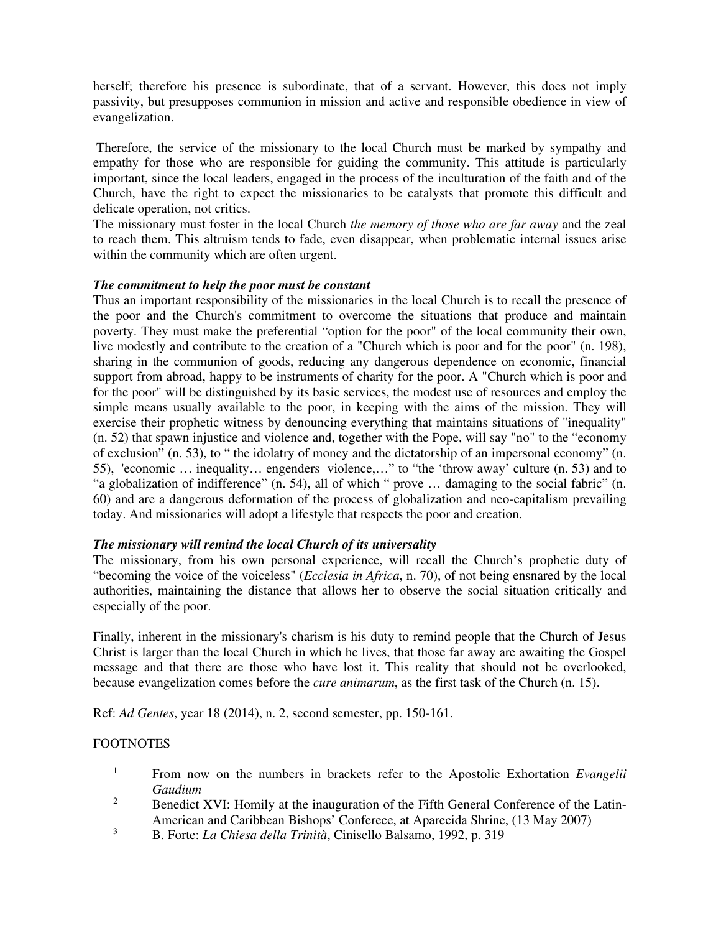herself; therefore his presence is subordinate, that of a servant. However, this does not imply passivity, but presupposes communion in mission and active and responsible obedience in view of evangelization.

 Therefore, the service of the missionary to the local Church must be marked by sympathy and empathy for those who are responsible for guiding the community. This attitude is particularly important, since the local leaders, engaged in the process of the inculturation of the faith and of the Church, have the right to expect the missionaries to be catalysts that promote this difficult and delicate operation, not critics.

The missionary must foster in the local Church *the memory of those who are far away* and the zeal to reach them. This altruism tends to fade, even disappear, when problematic internal issues arise within the community which are often urgent.

## *The commitment to help the poor must be constant*

Thus an important responsibility of the missionaries in the local Church is to recall the presence of the poor and the Church's commitment to overcome the situations that produce and maintain poverty. They must make the preferential "option for the poor" of the local community their own, live modestly and contribute to the creation of a "Church which is poor and for the poor" (n. 198), sharing in the communion of goods, reducing any dangerous dependence on economic, financial support from abroad, happy to be instruments of charity for the poor. A "Church which is poor and for the poor" will be distinguished by its basic services, the modest use of resources and employ the simple means usually available to the poor, in keeping with the aims of the mission. They will exercise their prophetic witness by denouncing everything that maintains situations of "inequality" (n. 52) that spawn injustice and violence and, together with the Pope, will say "no" to the "economy of exclusion" (n. 53), to " the idolatry of money and the dictatorship of an impersonal economy" (n. 55), 'economic … inequality… engenders violence,…" to "the 'throw away' culture (n. 53) and to "a globalization of indifference" (n. 54), all of which " prove … damaging to the social fabric" (n. 60) and are a dangerous deformation of the process of globalization and neo-capitalism prevailing today. And missionaries will adopt a lifestyle that respects the poor and creation.

## *The missionary will remind the local Church of its universality*

The missionary, from his own personal experience, will recall the Church's prophetic duty of "becoming the voice of the voiceless" (*Ecclesia in Africa*, n. 70), of not being ensnared by the local authorities, maintaining the distance that allows her to observe the social situation critically and especially of the poor.

Finally, inherent in the missionary's charism is his duty to remind people that the Church of Jesus Christ is larger than the local Church in which he lives, that those far away are awaiting the Gospel message and that there are those who have lost it. This reality that should not be overlooked, because evangelization comes before the *cure animarum*, as the first task of the Church (n. 15).

Ref: *Ad Gentes*, year 18 (2014), n. 2, second semester, pp. 150-161.

#### **FOOTNOTES**

- <sup>1</sup> From now on the numbers in brackets refer to the Apostolic Exhortation *Evangelii Gaudium*
- <sup>2</sup> Benedict XVI: Homily at the inauguration of the Fifth General Conference of the Latin-American and Caribbean Bishops' Conferece, at Aparecida Shrine, (13 May 2007)
- <sup>3</sup> B. Forte: *La Chiesa della Trinità*, Cinisello Balsamo, 1992, p. 319